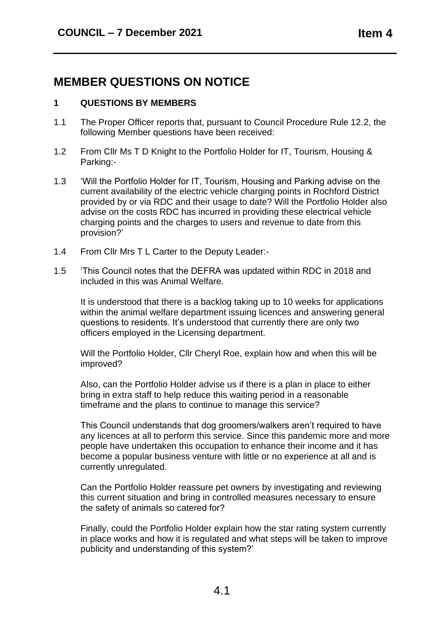## **MEMBER QUESTIONS ON NOTICE**

## **1 QUESTIONS BY MEMBERS**

- 1.1 The Proper Officer reports that, pursuant to Council Procedure Rule 12.2, the following Member questions have been received:
- 1.2 From Cllr Ms T D Knight to the Portfolio Holder for IT, Tourism, Housing & Parking:-
- 1.3 'Will the Portfolio Holder for IT, Tourism, Housing and Parking advise on the current availability of the electric vehicle charging points in Rochford District provided by or via RDC and their usage to date? Will the Portfolio Holder also advise on the costs RDC has incurred in providing these electrical vehicle charging points and the charges to users and revenue to date from this provision?'
- 1.4 From Cllr Mrs T L Carter to the Deputy Leader:-
- 1.5 'This Council notes that the DEFRA was updated within RDC in 2018 and included in this was Animal Welfare.

It is understood that there is a backlog taking up to 10 weeks for applications within the animal welfare department issuing licences and answering general questions to residents. It's understood that currently there are only two officers employed in the Licensing department.

Will the Portfolio Holder, Cllr Cheryl Roe, explain how and when this will be improved?

Also, can the Portfolio Holder advise us if there is a plan in place to either bring in extra staff to help reduce this waiting period in a reasonable timeframe and the plans to continue to manage this service?

This Council understands that dog groomers/walkers aren't required to have any licences at all to perform this service. Since this pandemic more and more people have undertaken this occupation to enhance their income and it has become a popular business venture with little or no experience at all and is currently unregulated.

Can the Portfolio Holder reassure pet owners by investigating and reviewing this current situation and bring in controlled measures necessary to ensure the safety of animals so catered for?

Finally, could the Portfolio Holder explain how the star rating system currently in place works and how it is regulated and what steps will be taken to improve publicity and understanding of this system?'